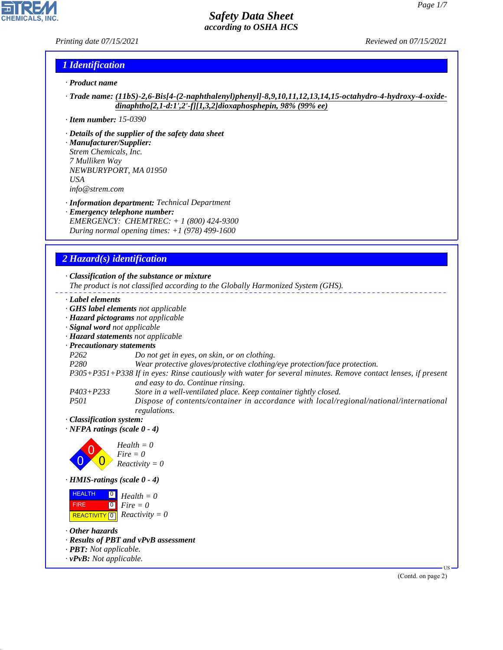#### *Printing date 07/15/2021 Reviewed on 07/15/2021*

## *1 Identification*

- *· Product name*
- *· Trade name: (11bS)-2,6-Bis[4-(2-naphthalenyl)phenyl]-8,9,10,11,12,13,14,15-octahydro-4-hydroxy-4-oxidedinaphtho[2,1-d:1',2'-f][1,3,2]dioxaphosphepin, 98% (99% ee)*
- *· Item number: 15-0390*
- *· Details of the supplier of the safety data sheet*
- *· Manufacturer/Supplier: Strem Chemicals, Inc. 7 Mulliken Way NEWBURYPORT, MA 01950 USA info@strem.com*
- *· Information department: Technical Department*
- *· Emergency telephone number: EMERGENCY: CHEMTREC: + 1 (800) 424-9300 During normal opening times: +1 (978) 499-1600*

# *2 Hazard(s) identification*

#### *· Classification of the substance or mixture*

*The product is not classified according to the Globally Harmonized System (GHS).*

- *· Label elements*
- *· GHS label elements not applicable*
- *· Hazard pictograms not applicable*
- *· Signal word not applicable*
- *· Hazard statements not applicable*
- *· Precautionary statements*
- *P262 Do not get in eyes, on skin, or on clothing.*
- *P280 Wear protective gloves/protective clothing/eye protection/face protection.*
- *P305+P351+P338 If in eyes: Rinse cautiously with water for several minutes. Remove contact lenses, if present and easy to do. Continue rinsing.*
- *P403+P233 Store in a well-ventilated place. Keep container tightly closed.*
- *P501 Dispose of contents/container in accordance with local/regional/national/international regulations.*
- *· Classification system:*
- *· NFPA ratings (scale 0 4)*



*· HMIS-ratings (scale 0 - 4)*

| <b>HEALTH</b> | $\begin{bmatrix} 0 \\ H \end{bmatrix}$ Health = 0           |
|---------------|-------------------------------------------------------------|
| <b>FIRE</b>   | $\begin{bmatrix} \bullet \\ \bullet \end{bmatrix}$ Fire = 0 |
|               | REACTIVITY $\boxed{0}$ <i>Reactivity</i> = 0                |

*· Other hazards*

44.1.1

- *· Results of PBT and vPvB assessment*
- *· PBT: Not applicable.*
- *· vPvB: Not applicable.*

(Contd. on page 2)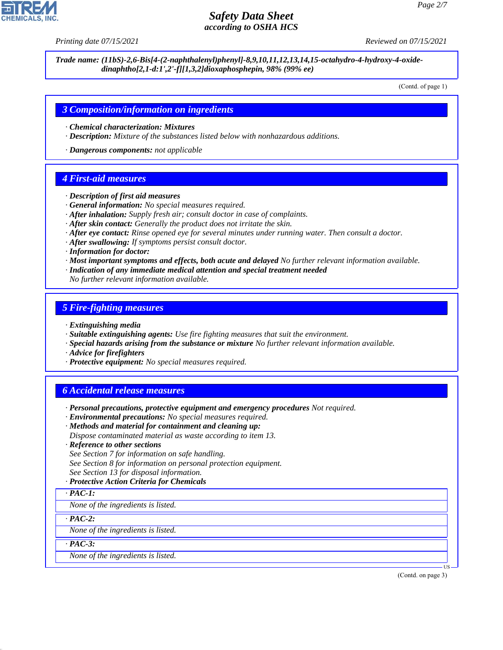*Printing date 07/15/2021 Reviewed on 07/15/2021*

*Trade name: (11bS)-2,6-Bis[4-(2-naphthalenyl)phenyl]-8,9,10,11,12,13,14,15-octahydro-4-hydroxy-4-oxidedinaphtho[2,1-d:1',2'-f][1,3,2]dioxaphosphepin, 98% (99% ee)*

(Contd. of page 1)

#### *3 Composition/information on ingredients*

- *· Chemical characterization: Mixtures*
- *· Description: Mixture of the substances listed below with nonhazardous additions.*

*· Dangerous components: not applicable*

#### *4 First-aid measures*

- *· Description of first aid measures*
- *· General information: No special measures required.*
- *· After inhalation: Supply fresh air; consult doctor in case of complaints.*
- *· After skin contact: Generally the product does not irritate the skin.*
- *· After eye contact: Rinse opened eye for several minutes under running water. Then consult a doctor.*
- *· After swallowing: If symptoms persist consult doctor.*
- *· Information for doctor:*
- *· Most important symptoms and effects, both acute and delayed No further relevant information available.*
- *· Indication of any immediate medical attention and special treatment needed*
- *No further relevant information available.*

#### *5 Fire-fighting measures*

- *· Extinguishing media*
- *· Suitable extinguishing agents: Use fire fighting measures that suit the environment.*
- *· Special hazards arising from the substance or mixture No further relevant information available.*
- *· Advice for firefighters*
- *· Protective equipment: No special measures required.*

#### *6 Accidental release measures*

- *· Personal precautions, protective equipment and emergency procedures Not required.*
- *· Environmental precautions: No special measures required.*
- *· Methods and material for containment and cleaning up:*
- *Dispose contaminated material as waste according to item 13.*
- *· Reference to other sections*
- *See Section 7 for information on safe handling.*
- *See Section 8 for information on personal protection equipment.*
- *See Section 13 for disposal information.*
- *· Protective Action Criteria for Chemicals*

#### *· PAC-1:*

*None of the ingredients is listed.*

*· PAC-2:*

*None of the ingredients is listed.*

*· PAC-3:*

44.1.1

*None of the ingredients is listed.*

(Contd. on page 3)

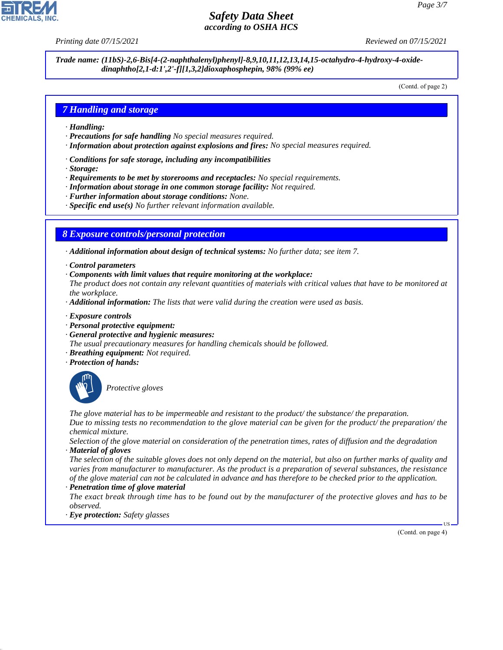*Printing date 07/15/2021 Reviewed on 07/15/2021*

*Trade name: (11bS)-2,6-Bis[4-(2-naphthalenyl)phenyl]-8,9,10,11,12,13,14,15-octahydro-4-hydroxy-4-oxidedinaphtho[2,1-d:1',2'-f][1,3,2]dioxaphosphepin, 98% (99% ee)*

(Contd. of page 2)

## *7 Handling and storage*

- *· Handling:*
- *· Precautions for safe handling No special measures required.*
- *· Information about protection against explosions and fires: No special measures required.*
- *· Conditions for safe storage, including any incompatibilities*
- *· Storage:*
- *· Requirements to be met by storerooms and receptacles: No special requirements.*
- *· Information about storage in one common storage facility: Not required.*
- *· Further information about storage conditions: None.*
- *· Specific end use(s) No further relevant information available.*

### *8 Exposure controls/personal protection*

- *· Additional information about design of technical systems: No further data; see item 7.*
- *· Control parameters*
- *· Components with limit values that require monitoring at the workplace:*
- *The product does not contain any relevant quantities of materials with critical values that have to be monitored at the workplace.*
- *· Additional information: The lists that were valid during the creation were used as basis.*
- *· Exposure controls*
- *· Personal protective equipment:*
- *· General protective and hygienic measures:*
- *The usual precautionary measures for handling chemicals should be followed.*
- *· Breathing equipment: Not required.*
- *· Protection of hands:*



44.1.1

\_S*Protective gloves*

*The glove material has to be impermeable and resistant to the product/ the substance/ the preparation. Due to missing tests no recommendation to the glove material can be given for the product/ the preparation/ the chemical mixture.*

*Selection of the glove material on consideration of the penetration times, rates of diffusion and the degradation · Material of gloves*

*The selection of the suitable gloves does not only depend on the material, but also on further marks of quality and varies from manufacturer to manufacturer. As the product is a preparation of several substances, the resistance of the glove material can not be calculated in advance and has therefore to be checked prior to the application. · Penetration time of glove material*

*The exact break through time has to be found out by the manufacturer of the protective gloves and has to be observed.*

*· Eye protection: Safety glasses*

(Contd. on page 4)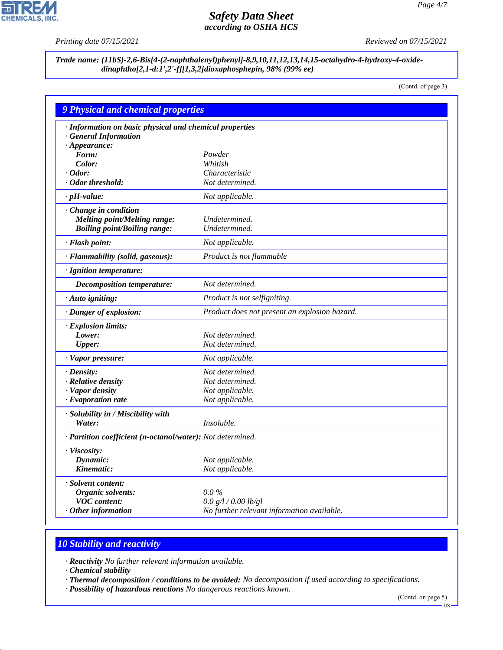P

**CHEMICALS, INC.** 

*Printing date 07/15/2021 Reviewed on 07/15/2021*

*Trade name: (11bS)-2,6-Bis[4-(2-naphthalenyl)phenyl]-8,9,10,11,12,13,14,15-octahydro-4-hydroxy-4-oxidedinaphtho[2,1-d:1',2'-f][1,3,2]dioxaphosphepin, 98% (99% ee)*

(Contd. of page 3)

| <b>9 Physical and chemical properties</b>                  |                                               |
|------------------------------------------------------------|-----------------------------------------------|
| · Information on basic physical and chemical properties    |                                               |
| · General Information                                      |                                               |
| $\cdot$ Appearance:                                        |                                               |
| Form:                                                      | Powder                                        |
| Color:                                                     | Whitish                                       |
| $\cdot$ Odor:                                              | Characteristic                                |
| · Odor threshold:                                          | Not determined.                               |
| $\cdot$ pH-value:                                          | Not applicable.                               |
| · Change in condition                                      |                                               |
| Melting point/Melting range:                               | Undetermined.                                 |
| <b>Boiling point/Boiling range:</b>                        | Undetermined.                                 |
| · Flash point:                                             | Not applicable.                               |
| · Flammability (solid, gaseous):                           | Product is not flammable                      |
| · Ignition temperature:                                    |                                               |
| Decomposition temperature:                                 | Not determined.                               |
| · Auto igniting:                                           | Product is not selfigniting.                  |
| · Danger of explosion:                                     | Product does not present an explosion hazard. |
| · Explosion limits:                                        |                                               |
| Lower:                                                     | Not determined.                               |
| <b>Upper:</b>                                              | Not determined.                               |
| · Vapor pressure:                                          | Not applicable.                               |
| $\cdot$ Density:                                           | Not determined.                               |
| · Relative density                                         | Not determined.                               |
| · Vapor density                                            | Not applicable.                               |
| $\cdot$ Evaporation rate                                   | Not applicable.                               |
| · Solubility in / Miscibility with                         |                                               |
| Water:                                                     | Insoluble.                                    |
| · Partition coefficient (n-octanol/water): Not determined. |                                               |
| · Viscosity:                                               |                                               |
| Dynamic:                                                   | Not applicable.                               |
| Kinematic:                                                 | Not applicable.                               |
| · Solvent content:                                         |                                               |
| Organic solvents:                                          | $0.0\%$                                       |
| <b>VOC</b> content:                                        | 0.0 g/l / 0.00 lb/gl                          |
| $\cdot$ Other information                                  | No further relevant information available.    |

# *10 Stability and reactivity*

*· Reactivity No further relevant information available.*

*· Chemical stability*

44.1.1

*· Thermal decomposition / conditions to be avoided: No decomposition if used according to specifications.*

*· Possibility of hazardous reactions No dangerous reactions known.*

(Contd. on page 5)

US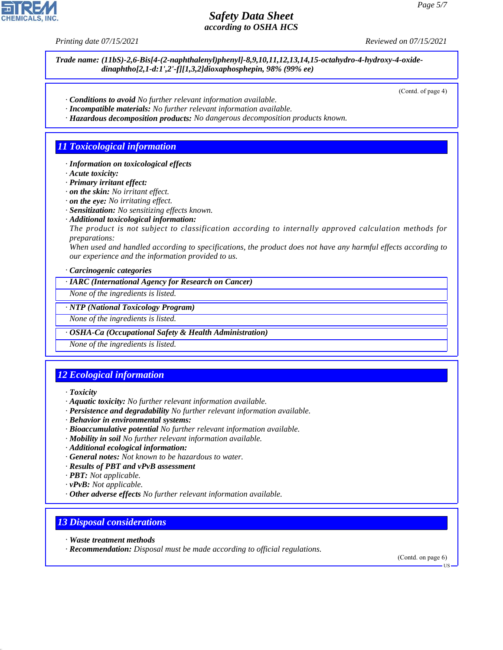*Printing date 07/15/2021 Reviewed on 07/15/2021*

*Trade name: (11bS)-2,6-Bis[4-(2-naphthalenyl)phenyl]-8,9,10,11,12,13,14,15-octahydro-4-hydroxy-4-oxidedinaphtho[2,1-d:1',2'-f][1,3,2]dioxaphosphepin, 98% (99% ee)*

(Contd. of page 4)

- *· Conditions to avoid No further relevant information available.*
- *· Incompatible materials: No further relevant information available.*
- *· Hazardous decomposition products: No dangerous decomposition products known.*

## *11 Toxicological information*

- *· Information on toxicological effects*
- *· Acute toxicity:*
- *· Primary irritant effect:*
- *· on the skin: No irritant effect.*
- *· on the eye: No irritating effect.*
- *· Sensitization: No sensitizing effects known.*
- *· Additional toxicological information:*

*The product is not subject to classification according to internally approved calculation methods for preparations:*

*When used and handled according to specifications, the product does not have any harmful effects according to our experience and the information provided to us.*

*· Carcinogenic categories*

*· IARC (International Agency for Research on Cancer)*

*None of the ingredients is listed.*

#### *· NTP (National Toxicology Program)*

*None of the ingredients is listed.*

#### *· OSHA-Ca (Occupational Safety & Health Administration)*

*None of the ingredients is listed.*

# *12 Ecological information*

*· Toxicity*

44.1.1

- *· Aquatic toxicity: No further relevant information available.*
- *· Persistence and degradability No further relevant information available.*
- *· Behavior in environmental systems:*
- *· Bioaccumulative potential No further relevant information available.*
- *· Mobility in soil No further relevant information available.*
- *· Additional ecological information:*
- *· General notes: Not known to be hazardous to water.*
- *· Results of PBT and vPvB assessment*
- *· PBT: Not applicable.*
- *· vPvB: Not applicable.*
- *· Other adverse effects No further relevant information available.*

# *13 Disposal considerations*

- *· Waste treatment methods*
- *· Recommendation: Disposal must be made according to official regulations.*

(Contd. on page 6)

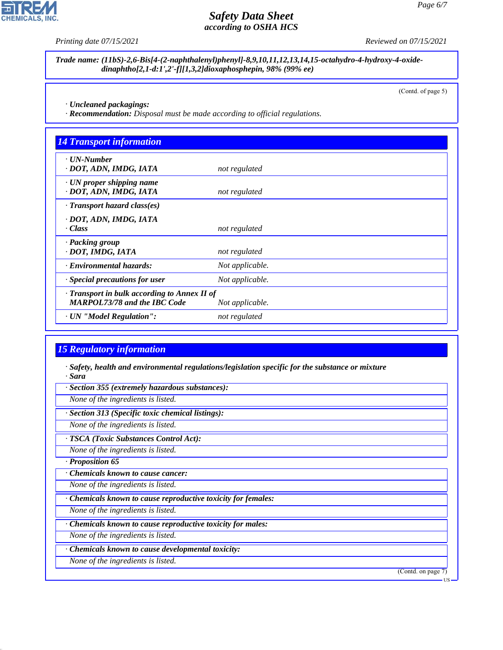**CHEMICALS, INC.** 

*Printing date 07/15/2021 Reviewed on 07/15/2021*

*Trade name: (11bS)-2,6-Bis[4-(2-naphthalenyl)phenyl]-8,9,10,11,12,13,14,15-octahydro-4-hydroxy-4-oxidedinaphtho[2,1-d:1',2'-f][1,3,2]dioxaphosphepin, 98% (99% ee)*

(Contd. of page 5)

*· Uncleaned packagings:*

*· Recommendation: Disposal must be made according to official regulations.*

| <b>14 Transport information</b>                                                     |                 |  |
|-------------------------------------------------------------------------------------|-----------------|--|
| $\cdot$ UN-Number<br>· DOT, ADN, IMDG, IATA                                         | not regulated   |  |
| $\cdot$ UN proper shipping name<br>· DOT, ADN, IMDG, IATA                           | not regulated   |  |
| $\cdot$ Transport hazard class(es)                                                  |                 |  |
| · DOT, ADN, IMDG, IATA<br>· Class                                                   | not regulated   |  |
| · Packing group<br>· DOT, IMDG, IATA                                                | not regulated   |  |
| · Environmental hazards:                                                            | Not applicable. |  |
| · Special precautions for user                                                      | Not applicable. |  |
| · Transport in bulk according to Annex II of<br><b>MARPOL73/78 and the IBC Code</b> | Not applicable. |  |
| · UN "Model Regulation":                                                            | not regulated   |  |

### *15 Regulatory information*

*· Safety, health and environmental regulations/legislation specific for the substance or mixture · Sara*

*· Section 355 (extremely hazardous substances):*

*None of the ingredients is listed.*

*· Section 313 (Specific toxic chemical listings):*

*None of the ingredients is listed.*

*· TSCA (Toxic Substances Control Act):*

*None of the ingredients is listed.*

*· Proposition 65*

44.1.1

*· Chemicals known to cause cancer:*

*None of the ingredients is listed.*

*· Chemicals known to cause reproductive toxicity for females:*

*None of the ingredients is listed.*

*· Chemicals known to cause reproductive toxicity for males:*

*None of the ingredients is listed.*

*· Chemicals known to cause developmental toxicity:*

*None of the ingredients is listed.*

(Contd. on page 7)

US